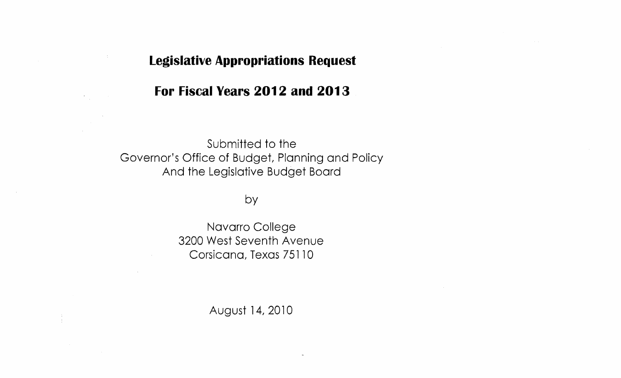## **Legislative Appropriations Request**

# **For Fiscal Years 2012 and 2013**

Submitted to the Governor's Office of Budget, Planning and Policy And the Legislative Budget Board

## by

Navarro College 3200 West Seventh Avenue Corsicana, Texas 75110

August 14, 2010

 $\mathbb{Q}^{\times}$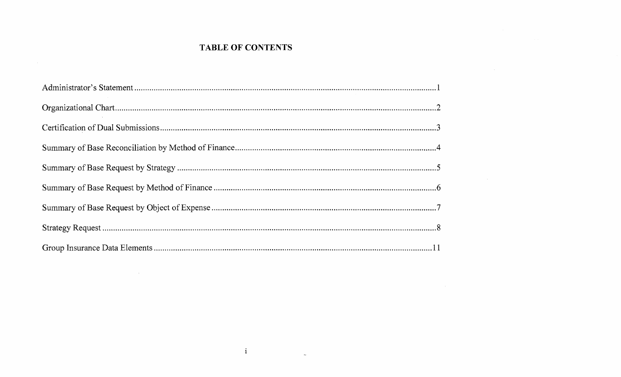## **TABLE OF CONTENTS**

 $\sim 10^7$ 

 $\sim$ 

 $\mathcal{L}^{\text{max}}_{\text{max}}$  and  $\mathcal{L}^{\text{max}}_{\text{max}}$  and  $\mathcal{L}^{\text{max}}_{\text{max}}$ 

 $\mathbf{i}$ 

 $\sim$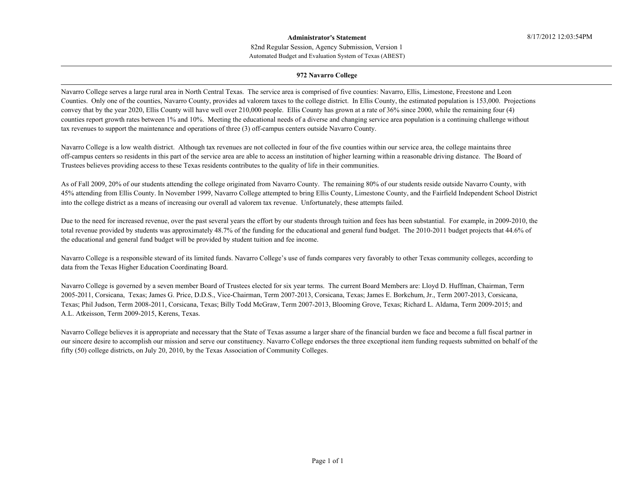#### Automated Budget and Evaluation System of Texas (ABEST) 82nd Regular Session, Agency Submission, Version 1 **Administrator's Statement**

#### **972 Navarro College**

Navarro College serves a large rural area in North Central Texas. The service area is comprised of five counties: Navarro, Ellis, Limestone, Freestone and Leon Counties. Only one of the counties, Navarro County, provides ad valorem taxes to the college district. In Ellis County, the estimated population is 153,000. Projections convey that by the year 2020, Ellis County will have well over 210,000 people. Ellis County has grown at a rate of 36% since 2000, while the remaining four (4) counties report growth rates between 1% and 10%. Meeting the educational needs of a diverse and changing service area population is a continuing challenge without tax revenues to support the maintenance and operations of three (3) off-campus centers outside Navarro County.

Navarro College is a low wealth district. Although tax revenues are not collected in four of the five counties within our service area, the college maintains three off-campus centers so residents in this part of the service area are able to access an institution of higher learning within a reasonable driving distance. The Board of Trustees believes providing access to these Texas residents contributes to the quality of life in their communities.

As of Fall 2009, 20% of our students attending the college originated from Navarro County. The remaining 80% of our students reside outside Navarro County, with 45% attending from Ellis County. In November 1999, Navarro College attempted to bring Ellis County, Limestone County, and the Fairfield Independent School District into the college district as a means of increasing our overall ad valorem tax revenue. Unfortunately, these attempts failed.

Due to the need for increased revenue, over the past several years the effort by our students through tuition and fees has been substantial. For example, in 2009-2010, the total revenue provided by students was approximately 48.7% of the funding for the educational and general fund budget. The 2010-2011 budget projects that 44.6% of the educational and general fund budget will be provided by student tuition and fee income.

Navarro College is a responsible steward of its limited funds. Navarro College's use of funds compares very favorably to other Texas community colleges, according to data from the Texas Higher Education Coordinating Board.

Navarro College is governed by a seven member Board of Trustees elected for six year terms. The current Board Members are: Lloyd D. Huffman, Chairman, Term 2005-2011, Corsicana, Texas; James G. Price, D.D.S., Vice-Chairman, Term 2007-2013, Corsicana, Texas; James E. Borkchum, Jr., Term 2007-2013, Corsicana, Texas; Phil Judson, Term 2008-2011, Corsicana, Texas; Billy Todd McGraw, Term 2007-2013, Blooming Grove, Texas; Richard L. Aldama, Term 2009-2015; and A.L. Atkeisson, Term 2009-2015, Kerens, Texas.

Navarro College believes it is appropriate and necessary that the State of Texas assume a larger share of the financial burden we face and become a full fiscal partner in our sincere desire to accomplish our mission and serve our constituency. Navarro College endorses the three exceptional item funding requests submitted on behalf of the fifty (50) college districts, on July 20, 2010, by the Texas Association of Community Colleges.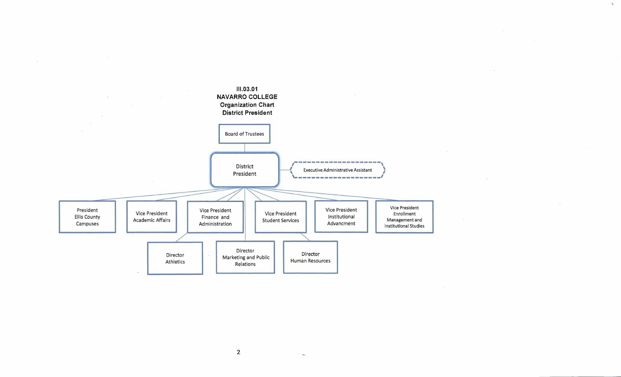

 $\sim$ 

 $\Delta_{\rm p}$ 

 $\sim$ 

 $\sim$ 

2

 $\overline{\phantom{a}}$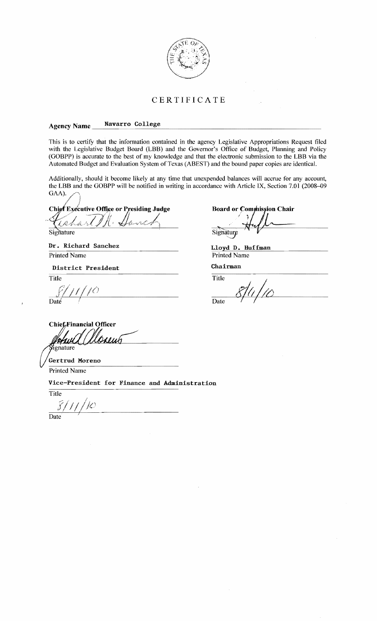

## **CER TIFICA TE**

#### --------------------------------------------------- Agency Name **Navarro College**

This is to certify that the infonnation contained in the agency Legislative Appropriations Request filed with the Legislative Budget Board (LBB) and the Governor's Office of Budget, Planning and Policy (aoBPP) is accurate to the best of my knowledge and that the electronic submission to the **LBB** via the Automated Budget and Evaluation System of Texas (ABEST) and the bound paper copies are identical.

Additionally, should it become likely at any time that unexpended balances will accrue for any account, the **LBB** and the GOBPP will be notified in writing in accordance with Article IX, Section 7.01 (2008-09 GAA).

f /  $Chjef$  Executive Office or Presiding Judge

*,I* 4/'(" .,' / /' . (. "',....1/ , "' *t."."",, 1,1../)'''\* ~ ~" ~ ~ ß.

Signature

 $\Lambda$   $\Lambda$ 

**Dr. Richard Sanchez Lloyd D. Huffman**<br>Printed Name Printed Name Printed Name

**District President Chairman**<br>Title Title Title

f Daté

**Board or Commission Chair** 

Signature

Printed Name

Title Title Date

**Chief** Financial Officer rmin ignature

Gertrud Moreno

Printed Name

**Vice-President for Finance and Administration** 

Title 81 1 IC)

Date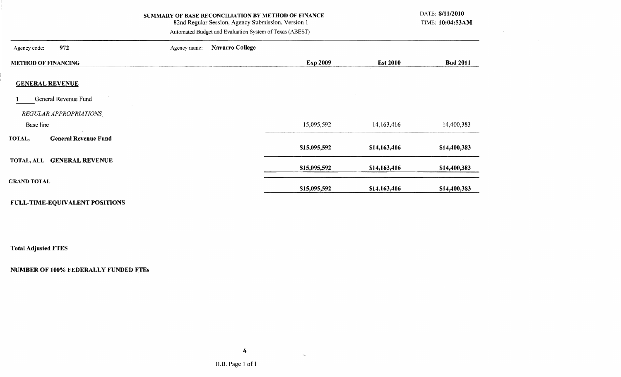| SUMMARY OF BASE RECONCILIATION BY METHOD OF FINANCE<br>82nd Regular Session, Agency Submission, Version 1<br>Automated Budget and Evaluation System of Texas (ABEST) |              |                        |                 |                 |                 |  |  |  |  |
|----------------------------------------------------------------------------------------------------------------------------------------------------------------------|--------------|------------------------|-----------------|-----------------|-----------------|--|--|--|--|
| 972<br>Agency code:                                                                                                                                                  | Agency name: | <b>Navarro College</b> |                 |                 |                 |  |  |  |  |
| <b>METHOD OF FINANCING</b>                                                                                                                                           |              |                        | <b>Exp 2009</b> | <b>Est 2010</b> | <b>Bud 2011</b> |  |  |  |  |
| <b>GENERAL REVENUE</b>                                                                                                                                               |              |                        |                 |                 |                 |  |  |  |  |
| General Revenue Fund                                                                                                                                                 |              |                        |                 |                 |                 |  |  |  |  |
| <b>REGULAR APPROPRIATIONS</b>                                                                                                                                        |              |                        |                 |                 |                 |  |  |  |  |
| Base line                                                                                                                                                            |              |                        | 15,095,592      | 14, 163, 416    | 14,400,383      |  |  |  |  |
| <b>General Revenue Fund</b><br>TOTAL,                                                                                                                                |              |                        | \$15,095,592    | \$14,163,416    | \$14,400,383    |  |  |  |  |
| TOTAL, ALL GENERAL REVENUE                                                                                                                                           |              |                        | \$15,095,592    | \$14,163,416    | \$14,400,383    |  |  |  |  |
| <b>GRAND TOTAL</b>                                                                                                                                                   |              |                        | \$15,095,592    | \$14,163,416    | \$14,400,383    |  |  |  |  |

 $\sim 100$ 

 $\mathcal{L}^{\text{max}}_{\text{max}}$  . The  $\mathcal{L}^{\text{max}}_{\text{max}}$ 

## FULL-TIME-EQUIVALENT POSITIONS

Total Adjusted FTES

## NUMBER OF 100% FEDERALLY FUNDED FTEs

 $\mathbf{L}_{\mathrm{c}}$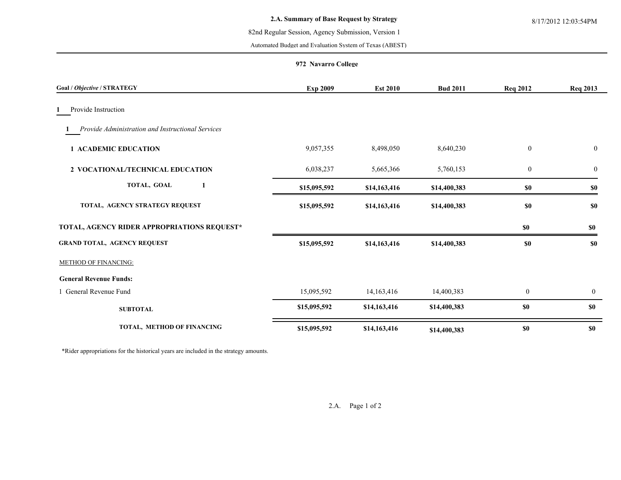#### 82nd Regular Session, Agency Submission, Version 1

Automated Budget and Evaluation System of Texas (ABEST)

#### **972 Navarro College**

| Goal / Objective / STRATEGY                       | <b>Exp 2009</b> | <b>Est 2010</b> | <b>Bud 2011</b> | <b>Req 2012</b>  | <b>Req 2013</b>  |
|---------------------------------------------------|-----------------|-----------------|-----------------|------------------|------------------|
| Provide Instruction                               |                 |                 |                 |                  |                  |
| Provide Administration and Instructional Services |                 |                 |                 |                  |                  |
| <b>1 ACADEMIC EDUCATION</b>                       | 9,057,355       | 8,498,050       | 8,640,230       | $\boldsymbol{0}$ | $\boldsymbol{0}$ |
| 2 VOCATIONAL/TECHNICAL EDUCATION                  | 6,038,237       | 5,665,366       | 5,760,153       | $\boldsymbol{0}$ | $\boldsymbol{0}$ |
| TOTAL, GOAL<br>1                                  | \$15,095,592    | \$14,163,416    | \$14,400,383    | $\$0$            | \$0              |
| TOTAL, AGENCY STRATEGY REQUEST                    | \$15,095,592    | \$14,163,416    | \$14,400,383    | $\$0$            | \$0              |
| TOTAL, AGENCY RIDER APPROPRIATIONS REQUEST*       |                 |                 |                 | \$0              | \$0              |
| <b>GRAND TOTAL, AGENCY REQUEST</b>                | \$15,095,592    | \$14,163,416    | \$14,400,383    | <b>\$0</b>       | <b>SO</b>        |
| METHOD OF FINANCING:                              |                 |                 |                 |                  |                  |
| <b>General Revenue Funds:</b>                     |                 |                 |                 |                  |                  |
| 1 General Revenue Fund                            | 15,095,592      | 14, 163, 416    | 14,400,383      | $\mathbf{0}$     | $\mathbf{0}$     |
| <b>SUBTOTAL</b>                                   | \$15,095,592    | \$14,163,416    | \$14,400,383    | <b>\$0</b>       | \$0              |
| TOTAL, METHOD OF FINANCING                        | \$15,095,592    | \$14,163,416    | \$14,400,383    | <b>\$0</b>       | \$0              |

\*Rider appropriations for the historical years are included in the strategy amounts.

2.A. Page 1 of 2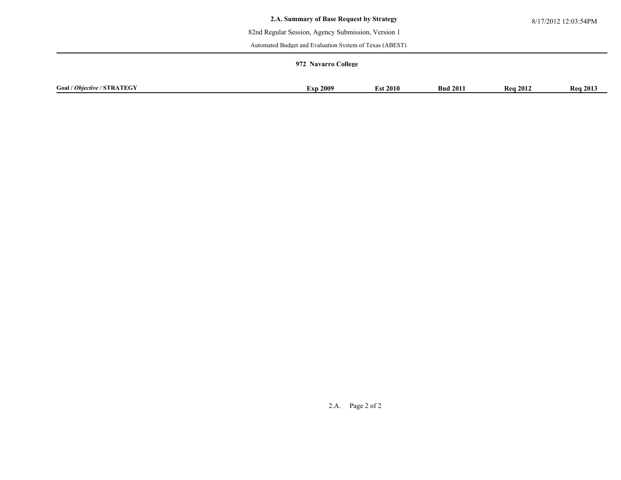#### 82nd Regular Session, Agency Submission, Version 1

Automated Budget and Evaluation System of Texas (ABEST)

#### **972 Navarro College**

| Goal<br><b>STRATEGY</b><br>OЬ<br>wective | 2009<br>∴XD | 2010ء | 201<br>Bud | 2012<br>-Rea | <b>Rea 2013</b> |
|------------------------------------------|-------------|-------|------------|--------------|-----------------|

2.A. Page 2 of 2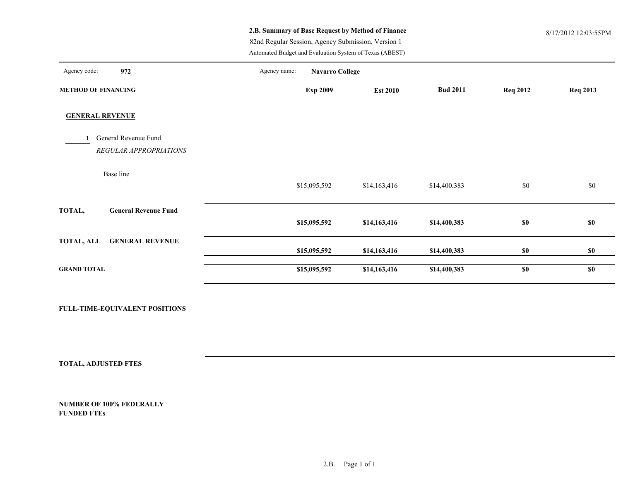## **2.B. Summary of Base Request by Method of Finance** 8/17/2012 12:03:55PM

82nd Regular Session, Agency Submission, Version 1

Automated Budget and Evaluation System of Texas (ABEST)

| Agency code:<br>972                         | Agency name: | <b>Navarro College</b> |                 |                 |                 |                 |
|---------------------------------------------|--------------|------------------------|-----------------|-----------------|-----------------|-----------------|
| <b>METHOD OF FINANCING</b>                  |              | <b>Exp 2009</b>        | <b>Est 2010</b> | <b>Bud 2011</b> | <b>Req 2012</b> | <b>Req 2013</b> |
| <b>GENERAL REVENUE</b>                      |              |                        |                 |                 |                 |                 |
| General Revenue Fund                        |              |                        |                 |                 |                 |                 |
| REGULAR APPROPRIATIONS                      |              |                        |                 |                 |                 |                 |
| Base line                                   |              | \$15,095,592           | \$14,163,416    | \$14,400,383    | \$0             | \$0             |
| TOTAL,<br><b>General Revenue Fund</b>       |              | \$15,095,592           | \$14,163,416    | \$14,400,383    | \$0             | \$0             |
| <b>TOTAL, ALL</b><br><b>GENERAL REVENUE</b> |              | \$15,095,592           | \$14,163,416    | \$14,400,383    | \$0             | \$0             |
| <b>GRAND TOTAL</b>                          |              | \$15,095,592           | \$14,163,416    | \$14,400,383    | \$0             | \$0             |

**FULL-TIME-EQUIVALENT POSITIONS**

**TOTAL, ADJUSTED FTES**

**NUMBER OF 100% FEDERALLY FUNDED FTEs**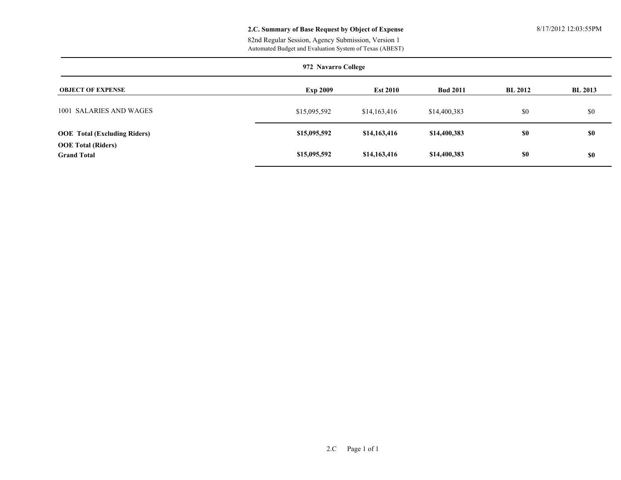#### **2.C. Summary of Base Request by Object of Expense** 8/17/2012 12:03:55PM

Automated Budget and Evaluation System of Texas (ABEST) 82nd Regular Session, Agency Submission, Version 1

|                                                 | 972 Navarro College |                 |                 |                |                |  |  |  |  |  |
|-------------------------------------------------|---------------------|-----------------|-----------------|----------------|----------------|--|--|--|--|--|
| <b>OBJECT OF EXPENSE</b>                        | <b>Exp 2009</b>     | <b>Est 2010</b> | <b>Bud 2011</b> | <b>BL 2012</b> | <b>BL 2013</b> |  |  |  |  |  |
| 1001 SALARIES AND WAGES                         | \$15,095,592        | \$14,163,416    | \$14,400,383    | \$0            | \$0            |  |  |  |  |  |
| <b>OOE</b> Total (Excluding Riders)             | \$15,095,592        | \$14,163,416    | \$14,400,383    | <b>SO</b>      | \$0            |  |  |  |  |  |
| <b>OOE</b> Total (Riders)<br><b>Grand Total</b> | \$15,095,592        | \$14,163,416    | \$14,400,383    | \$0            | \$0            |  |  |  |  |  |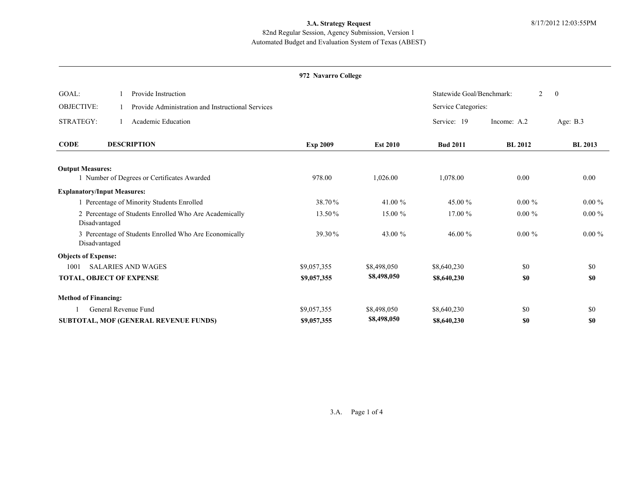## **3.A. Strategy Request** 8/17/2012 12:03:55PM

### Automated Budget and Evaluation System of Texas (ABEST) 82nd Regular Session, Agency Submission, Version 1

#### **972 Navarro College**

| GOAL:<br>Provide Instruction                                            |                 |                 | Statewide Goal/Benchmark: | $\overline{2}$ | $\overline{0}$ |
|-------------------------------------------------------------------------|-----------------|-----------------|---------------------------|----------------|----------------|
| <b>OBJECTIVE:</b><br>Provide Administration and Instructional Services  |                 |                 | Service Categories:       |                |                |
| STRATEGY:<br>Academic Education                                         |                 |                 | Service: 19               | Income: A.2    | Age: $B.3$     |
| <b>CODE</b><br><b>DESCRIPTION</b>                                       | <b>Exp 2009</b> | <b>Est 2010</b> | <b>Bud 2011</b>           | <b>BL 2012</b> | <b>BL 2013</b> |
| <b>Output Measures:</b>                                                 |                 |                 |                           |                |                |
| 1 Number of Degrees or Certificates Awarded                             | 978.00          | 1,026.00        | 1,078.00                  | 0.00           | 0.00           |
| <b>Explanatory/Input Measures:</b>                                      |                 |                 |                           |                |                |
| 1 Percentage of Minority Students Enrolled                              | 38.70%          | 41.00 %         | 45.00 %                   | $0.00 \%$      | $0.00 \%$      |
| 2 Percentage of Students Enrolled Who Are Academically<br>Disadvantaged | 13.50%          | 15.00 %         | 17.00 %                   | $0.00 \%$      | $0.00 \%$      |
| 3 Percentage of Students Enrolled Who Are Economically<br>Disadvantaged | 39.30%          | 43.00 %         | 46.00 $\%$                | $0.00 \%$      | $0.00 \%$      |
| <b>Objects of Expense:</b>                                              |                 |                 |                           |                |                |
| <b>SALARIES AND WAGES</b><br>1001                                       | \$9,057,355     | \$8,498,050     | \$8,640,230               | \$0            | \$0            |
| TOTAL, OBJECT OF EXPENSE                                                | \$9,057,355     | \$8,498,050     | \$8,640,230               | \$0            | \$0            |
| <b>Method of Financing:</b>                                             |                 |                 |                           |                |                |
| General Revenue Fund                                                    | \$9,057,355     | \$8,498,050     | \$8,640,230               | \$0            | \$0            |
| SUBTOTAL, MOF (GENERAL REVENUE FUNDS)                                   | \$9,057,355     | \$8,498,050     | \$8,640,230               | \$0            | \$0            |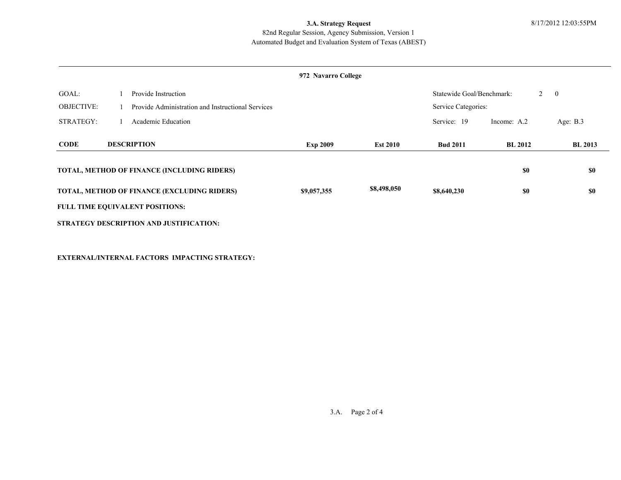## **3.A. Strategy Request** 8/17/2012 12:03:55PM

#### Automated Budget and Evaluation System of Texas (ABEST) 82nd Regular Session, Agency Submission, Version 1

#### **972 Navarro College**

| GOAL:<br><b>OBJECTIVE:</b> | Provide Instruction<br>Provide Administration and Instructional Services |                 | Statewide Goal/Benchmark:<br>$2 \quad 0$<br>Service Categories: |                 |                |                |
|----------------------------|--------------------------------------------------------------------------|-----------------|-----------------------------------------------------------------|-----------------|----------------|----------------|
| STRATEGY:                  | Academic Education                                                       |                 |                                                                 | Service: 19     | Income: A.2    | Age: $B.3$     |
| <b>CODE</b>                | <b>DESCRIPTION</b>                                                       | <b>Exp 2009</b> | <b>Est 2010</b>                                                 | <b>Bud 2011</b> | <b>BL 2012</b> | <b>BL 2013</b> |
|                            | TOTAL, METHOD OF FINANCE (INCLUDING RIDERS)                              |                 |                                                                 |                 | \$0            | \$0            |
|                            | TOTAL, METHOD OF FINANCE (EXCLUDING RIDERS)                              | \$9,057,355     | \$8,498,050                                                     | \$8,640,230     | \$0            | \$0            |
|                            | <b>FULL TIME EQUIVALENT POSITIONS:</b>                                   |                 |                                                                 |                 |                |                |
|                            | STRATEGY DESCRIPTION AND JUSTIFICATION:                                  |                 |                                                                 |                 |                |                |

**EXTERNAL/INTERNAL FACTORS IMPACTING STRATEGY:**

3.A. Page 2 of 4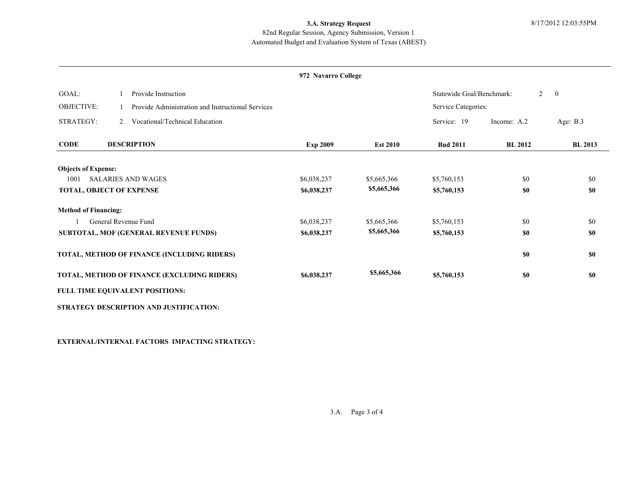## **3.A. Strategy Request** 8/17/2012 12:03:55PM

#### Automated Budget and Evaluation System of Texas (ABEST) 82nd Regular Session, Agency Submission, Version 1

#### **972 Navarro College**

| GOAL:                           |   | Provide Instruction                               |                 |                 | Statewide Goal/Benchmark: | 2              | $\overline{0}$ |
|---------------------------------|---|---------------------------------------------------|-----------------|-----------------|---------------------------|----------------|----------------|
| <b>OBJECTIVE:</b>               |   | Provide Administration and Instructional Services |                 |                 | Service Categories:       |                |                |
| STRATEGY:                       | 2 | Vocational/Technical Education                    |                 |                 | Service: 19               | Income: A.2    | Age: $B.3$     |
| <b>CODE</b>                     |   | <b>DESCRIPTION</b>                                | <b>Exp 2009</b> | <b>Est 2010</b> | <b>Bud 2011</b>           | <b>BL 2012</b> | <b>BL 2013</b> |
| <b>Objects of Expense:</b>      |   |                                                   |                 |                 |                           |                |                |
| 1001                            |   | <b>SALARIES AND WAGES</b>                         | \$6,038,237     | \$5,665,366     | \$5,760,153               | \$0            | \$0            |
| <b>TOTAL, OBJECT OF EXPENSE</b> |   |                                                   | \$6,038,237     | \$5,665,366     | \$5,760,153               | \$0            | \$0            |
| <b>Method of Financing:</b>     |   |                                                   |                 |                 |                           |                |                |
|                                 |   | General Revenue Fund                              | \$6,038,237     | \$5,665,366     | \$5,760,153               | \$0            | \$0            |
|                                 |   | SUBTOTAL, MOF (GENERAL REVENUE FUNDS)             | \$6,038,237     | \$5,665,366     | \$5,760,153               | \$0            | \$0            |
|                                 |   | TOTAL, METHOD OF FINANCE (INCLUDING RIDERS)       |                 |                 |                           | \$0            | \$0            |
|                                 |   | TOTAL, METHOD OF FINANCE (EXCLUDING RIDERS)       | \$6,038,237     | \$5,665,366     | \$5,760,153               | \$0            | \$0            |
|                                 |   | FULL TIME EQUIVALENT POSITIONS:                   |                 |                 |                           |                |                |
|                                 |   | STRATEGY DESCRIPTION AND JUSTIFICATION:           |                 |                 |                           |                |                |

**EXTERNAL/INTERNAL FACTORS IMPACTING STRATEGY:**

3.A. Page 3 of 4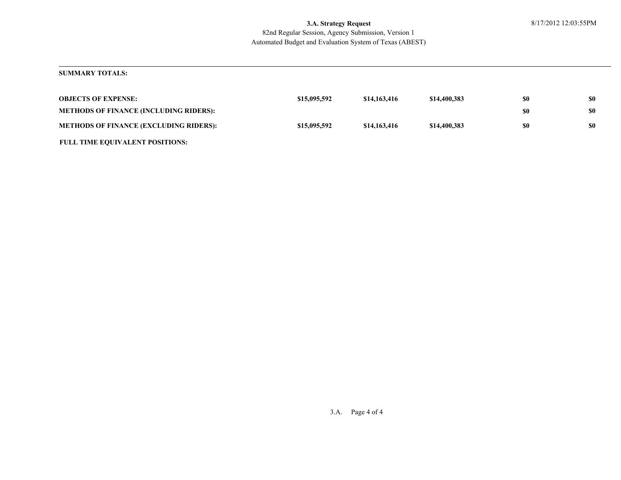#### Automated Budget and Evaluation System of Texas (ABEST) 82nd Regular Session, Agency Submission, Version 1 **3.A. Strategy Request** 8/17/2012 12:03:55PM

#### **SUMMARY TOTALS:**

| <b>OBJECTS OF EXPENSE:</b>                    | \$15,095,592 | \$14,163,416 | \$14,400,383 | \$0 | \$0 |
|-----------------------------------------------|--------------|--------------|--------------|-----|-----|
| <b>METHODS OF FINANCE (INCLUDING RIDERS):</b> |              |              |              | \$0 | \$0 |
| <b>METHODS OF FINANCE (EXCLUDING RIDERS):</b> | \$15,095,592 | \$14,163,416 | \$14,400,383 | \$0 | \$0 |
| <b>FULL TIME EQUIVALENT POSITIONS:</b>        |              |              |              |     |     |

3.A. Page 4 of 4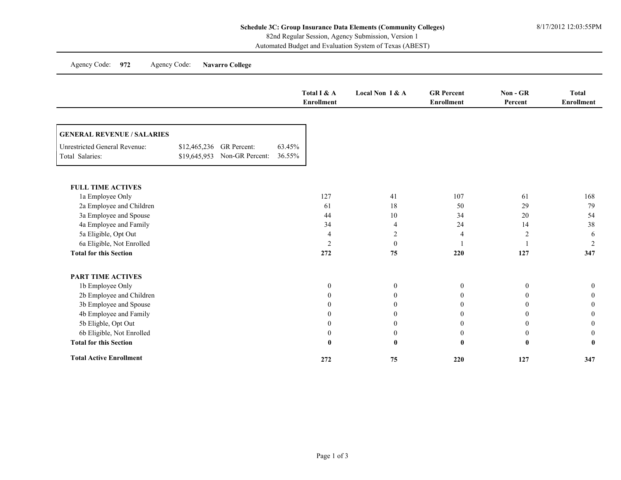Agency Code: **972** Agency Code: **Navarro College**

|                                                         |                          |                              |                  | Total I & A<br><b>Enrollment</b> | Local Non I & A  | <b>GR</b> Percent<br><b>Enrollment</b> | $Non - GR$<br>Percent | <b>Total</b><br><b>Enrollment</b> |
|---------------------------------------------------------|--------------------------|------------------------------|------------------|----------------------------------|------------------|----------------------------------------|-----------------------|-----------------------------------|
| <b>GENERAL REVENUE / SALARIES</b>                       |                          |                              |                  |                                  |                  |                                        |                       |                                   |
| <b>Unrestricted General Revenue:</b><br>Total Salaries: | \$12,465,236 GR Percent: | \$19,645,953 Non-GR Percent: | 63.45%<br>36.55% |                                  |                  |                                        |                       |                                   |
| <b>FULL TIME ACTIVES</b>                                |                          |                              |                  |                                  |                  |                                        |                       |                                   |
| 1a Employee Only                                        |                          |                              |                  | 127                              | 41               | 107                                    | 61                    | 168                               |
| 2a Employee and Children                                |                          |                              |                  | 61                               | 18               | 50                                     | 29                    | 79                                |
| 3a Employee and Spouse                                  |                          |                              |                  | 44                               | 10               | 34                                     | 20                    | 54                                |
| 4a Employee and Family                                  |                          |                              |                  | 34                               | $\overline{4}$   | 24                                     | 14                    | 38                                |
| 5a Eligible, Opt Out                                    |                          |                              |                  | $\overline{4}$                   | $\overline{2}$   | $\overline{4}$                         | $\overline{2}$        | 6                                 |
| 6a Eligible, Not Enrolled                               |                          |                              |                  | $\overline{2}$                   | $\boldsymbol{0}$ |                                        |                       | $\overline{c}$                    |
| <b>Total for this Section</b>                           |                          |                              |                  | 272                              | 75               | 220                                    | 127                   | 347                               |
| <b>PART TIME ACTIVES</b>                                |                          |                              |                  |                                  |                  |                                        |                       |                                   |
| 1b Employee Only                                        |                          |                              |                  | $\mathbf{0}$                     | $\boldsymbol{0}$ | $\boldsymbol{0}$                       | $\mathbf{0}$          | $\mathbf{0}$                      |
| 2b Employee and Children                                |                          |                              |                  | $\theta$                         | $\Omega$         | $\mathbf{0}$                           | $\theta$              | $\theta$                          |
| 3b Employee and Spouse                                  |                          |                              |                  | $\theta$                         |                  | $\theta$                               | 0                     | $\theta$                          |
| 4b Employee and Family                                  |                          |                              |                  | $\Omega$                         |                  | $\overline{0}$                         | 0                     | $\Omega$                          |
| 5b Eligble, Opt Out                                     |                          |                              |                  | $\theta$                         | $\theta$         | $\theta$                               | $\theta$              | $\theta$                          |
| 6b Eligible, Not Enrolled                               |                          |                              |                  | $\Omega$                         | $\theta$         | $\mathbf{0}$                           | $\bf{0}$              | $\Omega$                          |
| <b>Total for this Section</b>                           |                          |                              |                  |                                  | $\mathbf{0}$     | $\bf{0}$                               | $\bf{0}$              |                                   |
| <b>Total Active Enrollment</b>                          |                          |                              |                  | 272                              | 75               | 220                                    | 127                   | 347                               |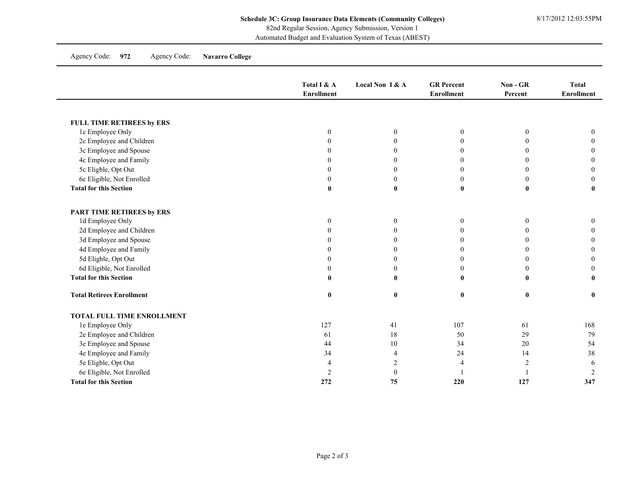82nd Regular Session, Agency Submission, Version 1

Automated Budget and Evaluation System of Texas (ABEST)

Agency Code: **972** Agency Code: **Navarro College**

|                                  | Total I & A<br><b>Enrollment</b> | Local Non I & A  | <b>GR</b> Percent<br><b>Enrollment</b> | Non - GR<br>Percent | <b>Total</b><br><b>Enrollment</b> |
|----------------------------------|----------------------------------|------------------|----------------------------------------|---------------------|-----------------------------------|
|                                  |                                  |                  |                                        |                     |                                   |
| FULL TIME RETIREES by ERS        |                                  |                  |                                        |                     |                                   |
| 1c Employee Only                 | $\mathbf{0}$                     | $\boldsymbol{0}$ | $\boldsymbol{0}$                       | $\boldsymbol{0}$    | $\mathbf{0}$                      |
| 2c Employee and Children         | $\Omega$                         | $\Omega$         | $\theta$                               | $\Omega$            | $\Omega$                          |
| 3c Employee and Spouse           |                                  | $\Omega$         | $\mathbf{0}$                           | $\Omega$            |                                   |
| 4c Employee and Family           |                                  | $\theta$         | $\theta$                               | $\theta$            |                                   |
| 5c Eligble, Opt Out              |                                  | $\theta$         | $\boldsymbol{0}$                       | $\overline{0}$      |                                   |
| 6c Eligible, Not Enrolled        |                                  | $\mathbf{0}$     | $\boldsymbol{0}$                       | $\mathbf{0}$        | 0                                 |
| <b>Total for this Section</b>    | $\mathbf{0}$                     | $\mathbf{0}$     | $\bf{0}$                               | $\bf{0}$            |                                   |
| PART TIME RETIREES by ERS        |                                  |                  |                                        |                     |                                   |
| 1d Employee Only                 | $\mathbf{0}$                     | $\mathbf{0}$     | $\mathbf{0}$                           | $\mathbf{0}$        | $\mathbf{0}$                      |
| 2d Employee and Children         | $\Omega$                         | $\theta$         | $\mathbf{0}$                           | $\Omega$            |                                   |
| 3d Employee and Spouse           |                                  | $\theta$         | $\theta$                               | 0                   |                                   |
| 4d Employee and Family           | 0                                | $\Omega$         | $\mathbf{0}$                           | 0                   |                                   |
| 5d Eligble, Opt Out              |                                  | $\Omega$         | $\boldsymbol{0}$                       | 0                   |                                   |
| 6d Eligible, Not Enrolled        | $\theta$                         | $\mathbf{0}$     | $\boldsymbol{0}$                       | $\Omega$            |                                   |
| <b>Total for this Section</b>    | $\mathbf{0}$                     | $\mathbf{0}$     | $\bf{0}$                               | $\mathbf{0}$        |                                   |
| <b>Total Retirees Enrollment</b> | $\bf{0}$                         | $\bf{0}$         | $\bf{0}$                               | $\bf{0}$            | $\bf{0}$                          |
| TOTAL FULL TIME ENROLLMENT       |                                  |                  |                                        |                     |                                   |
| 1e Employee Only                 | 127                              | 41               | 107                                    | 61                  | 168                               |
| 2e Employee and Children         | 61                               | 18               | 50                                     | 29                  | 79                                |
| 3e Employee and Spouse           | 44                               | 10               | 34                                     | $20\,$              | 54                                |
| 4e Employee and Family           | 34                               | $\overline{4}$   | 24                                     | 14                  | 38                                |
| 5e Eligble, Opt Out              | $\overline{4}$                   | $\overline{2}$   | $\overline{4}$                         | $\overline{c}$      | 6                                 |
| 6e Eligible, Not Enrolled        | $\overline{2}$                   | $\theta$         |                                        |                     | $\overline{2}$                    |
| <b>Total for this Section</b>    | 272                              | 75               | 220                                    | 127                 | 347                               |